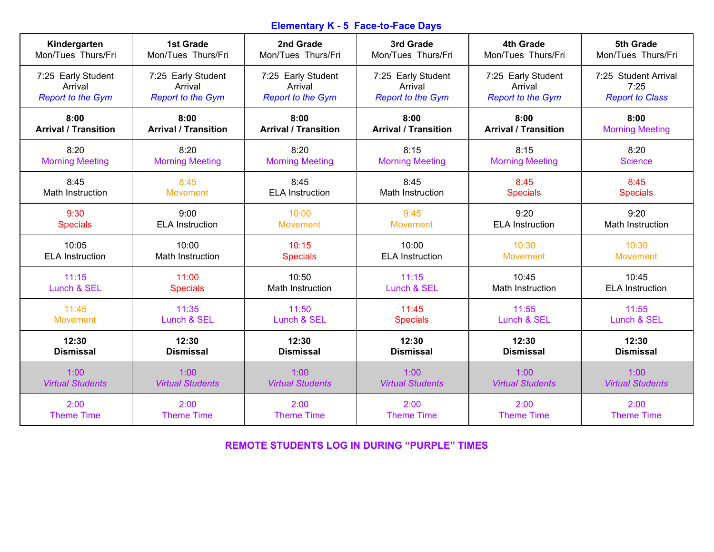## **Elementary K - 5 Face-to-Face Days**

| Kindergarten                | <b>1st Grade</b>            | 2nd Grade                   | 3rd Grade                   | <b>4th Grade</b>            | 5th Grade               |
|-----------------------------|-----------------------------|-----------------------------|-----------------------------|-----------------------------|-------------------------|
| Mon/Tues Thurs/Fri          | Mon/Tues Thurs/Fri          | Mon/Tues Thurs/Fri          | Mon/Tues Thurs/Fri          | Mon/Tues Thurs/Fri          | Mon/Tues Thurs/Fri      |
| 7:25 Early Student          | 7:25 Early Student          | 7:25 Early Student          | 7:25 Early Student          | 7:25 Early Student          | 7:25 Student Arrival    |
| Arrival                     | Arrival                     | Arrival                     | Arrival                     | Arrival                     | 7:25                    |
| <b>Report to the Gym</b>    | <b>Report to the Gym</b>    | <b>Report to the Gym</b>    | <b>Report to the Gym</b>    | <b>Report to the Gym</b>    | <b>Report to Class</b>  |
| 8:00                        | 8:00                        | 8:00                        | 8:00                        | 8:00                        | 8:00                    |
| <b>Arrival / Transition</b> | <b>Arrival / Transition</b> | <b>Arrival / Transition</b> | <b>Arrival / Transition</b> | <b>Arrival / Transition</b> | <b>Morning Meeting</b>  |
| 8:20                        | 8:20                        | 8:20                        | 8:15                        | 8:15                        | 8:20                    |
| <b>Morning Meeting</b>      | <b>Morning Meeting</b>      | <b>Morning Meeting</b>      | <b>Morning Meeting</b>      | <b>Morning Meeting</b>      | <b>Science</b>          |
| 8:45                        | 8:45                        | 8:45                        | 8:45                        | 8:45                        | 8:45                    |
| <b>Math Instruction</b>     | <b>Movement</b>             | <b>ELA Instruction</b>      | <b>Math Instruction</b>     | <b>Specials</b>             | <b>Specials</b>         |
| 9:30                        | 9:00                        | 10:00                       | 9:45                        | 9:20                        | 9:20                    |
| <b>Specials</b>             | <b>ELA Instruction</b>      | <b>Movement</b>             | <b>Movement</b>             | <b>ELA Instruction</b>      | Math Instruction        |
| 10:05                       | 10:00                       | 10:15                       | 10:00                       | 10:30                       | 10:30                   |
| <b>ELA Instruction</b>      | Math Instruction            | <b>Specials</b>             | <b>ELA</b> Instruction      | <b>Movement</b>             | <b>Movement</b>         |
| 11:15                       | 11:00                       | 10:50                       | 11:15                       | 10:45                       | 10:45                   |
| Lunch & SEL                 | <b>Specials</b>             | Math Instruction            | Lunch & SEL                 | Math Instruction            | <b>ELA Instruction</b>  |
| 11:45                       | 11:35                       | 11:50                       | 11:45                       | 11:55                       | 11:55                   |
| <b>Movement</b>             | Lunch & SEL                 | Lunch & SEL                 | <b>Specials</b>             | Lunch & SEL                 | Lunch & SEL             |
| 12:30                       | 12:30                       | 12:30                       | 12:30                       | 12:30                       | 12:30                   |
| <b>Dismissal</b>            | <b>Dismissal</b>            | <b>Dismissal</b>            | <b>Dismissal</b>            | <b>Dismissal</b>            | <b>Dismissal</b>        |
| 1:00                        | 1:00                        | 1:00                        | 1:00                        | 1:00                        | 1:00                    |
| <b>Virtual Students</b>     | <b>Virtual Students</b>     | <b>Virtual Students</b>     | <b>Virtual Students</b>     | <b>Virtual Students</b>     | <b>Virtual Students</b> |
| 2:00                        | 2:00                        | 2:00                        | 2:00                        | 2:00                        | 2:00                    |
| <b>Theme Time</b>           | <b>Theme Time</b>           | <b>Theme Time</b>           | <b>Theme Time</b>           | <b>Theme Time</b>           | <b>Theme Time</b>       |

**REMOTE STUDENTS LOG IN DURING "PURPLE" TIMES**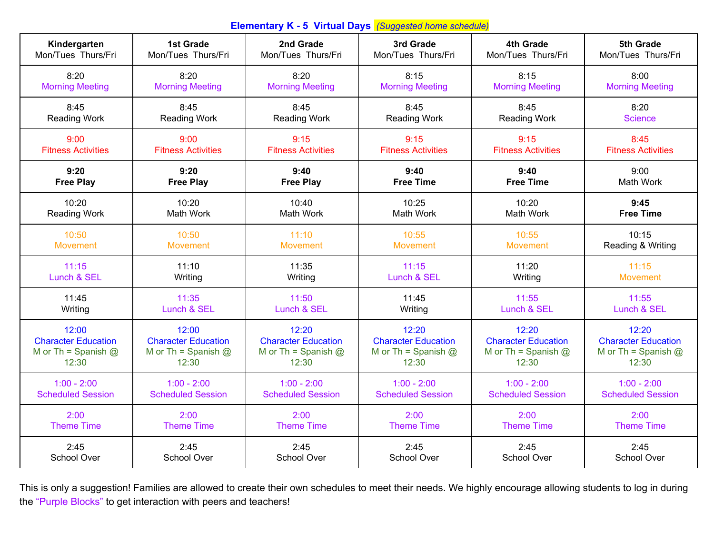| Kindergarten               | <b>1st Grade</b>           | 2nd Grade                  | 3rd Grade                  | 4th Grade                  | 5th Grade                  |
|----------------------------|----------------------------|----------------------------|----------------------------|----------------------------|----------------------------|
| Mon/Tues Thurs/Fri         | Mon/Tues Thurs/Fri         | Mon/Tues Thurs/Fri         | Mon/Tues Thurs/Fri         | Mon/Tues Thurs/Fri         | Mon/Tues Thurs/Fri         |
| 8:20                       | 8:20                       | 8:20                       | 8:15                       | 8:15                       | 8:00                       |
| <b>Morning Meeting</b>     | <b>Morning Meeting</b>     | <b>Morning Meeting</b>     | <b>Morning Meeting</b>     | <b>Morning Meeting</b>     | <b>Morning Meeting</b>     |
| 8:45                       | 8:45                       | 8:45                       | 8:45                       | 8:45                       | 8:20                       |
| <b>Reading Work</b>        | <b>Reading Work</b>        | <b>Reading Work</b>        | Reading Work               | <b>Reading Work</b>        | <b>Science</b>             |
| 9:00                       | 9:00                       | 9:15                       | 9:15                       | 9:15                       | 8:45                       |
| <b>Fitness Activities</b>  | <b>Fitness Activities</b>  | <b>Fitness Activities</b>  | <b>Fitness Activities</b>  | <b>Fitness Activities</b>  | <b>Fitness Activities</b>  |
| 9:20                       | 9:20                       | 9:40                       | 9:40                       | 9:40                       | 9:00                       |
| <b>Free Play</b>           | <b>Free Play</b>           | <b>Free Play</b>           | <b>Free Time</b>           | <b>Free Time</b>           | <b>Math Work</b>           |
| 10:20                      | 10:20                      | 10:40                      | 10:25                      | 10:20                      | 9:45                       |
| <b>Reading Work</b>        | Math Work                  | Math Work                  | Math Work                  | Math Work                  | <b>Free Time</b>           |
| 10:50                      | 10:50                      | 11:10                      | 10:55                      | 10:55                      | 10:15                      |
| <b>Movement</b>            | <b>Movement</b>            | <b>Movement</b>            | <b>Movement</b>            | <b>Movement</b>            | Reading & Writing          |
| 11:15                      | 11:10                      | 11:35                      | 11:15                      | 11:20                      | 11:15                      |
| Lunch & SEL                | Writing                    | Writing                    | Lunch & SEL                | Writing                    | <b>Movement</b>            |
| 11:45                      | 11:35                      | 11:50                      | 11:45                      | 11:55                      | 11:55                      |
| Writing                    | Lunch & SEL                | Lunch & SEL                | Writing                    | Lunch & SEL                | Lunch & SEL                |
| 12:00                      | 12:00                      | 12:20                      | 12:20                      | 12:20                      | 12:20                      |
| <b>Character Education</b> | <b>Character Education</b> | <b>Character Education</b> | <b>Character Education</b> | <b>Character Education</b> | <b>Character Education</b> |
| M or Th = Spanish $@$      | M or Th = Spanish $@$      | M or Th = Spanish $@$      | M or Th = Spanish $@$      | M or Th = Spanish $@$      | M or Th = Spanish $@$      |
| 12:30                      | 12:30                      | 12:30                      | 12:30                      | 12:30                      | 12:30                      |
| $1:00 - 2:00$              | $1:00 - 2:00$              | $1:00 - 2:00$              | $1:00 - 2:00$              | $1:00 - 2:00$              | $1:00 - 2:00$              |
| <b>Scheduled Session</b>   | <b>Scheduled Session</b>   | <b>Scheduled Session</b>   | <b>Scheduled Session</b>   | <b>Scheduled Session</b>   | <b>Scheduled Session</b>   |
| 2:00                       | 2:00                       | 2:00                       | 2:00                       | 2:00                       | 2:00                       |
| <b>Theme Time</b>          | <b>Theme Time</b>          | <b>Theme Time</b>          | <b>Theme Time</b>          | <b>Theme Time</b>          | <b>Theme Time</b>          |
| 2:45                       | 2:45                       | 2:45                       | 2:45                       | 2:45                       | 2:45                       |
| School Over                | School Over                | School Over                | School Over                | School Over                | School Over                |

This is only a suggestion! Families are allowed to create their own schedules to meet their needs. We highly encourage allowing students to log in during the "Purple Blocks" to get interaction with peers and teachers!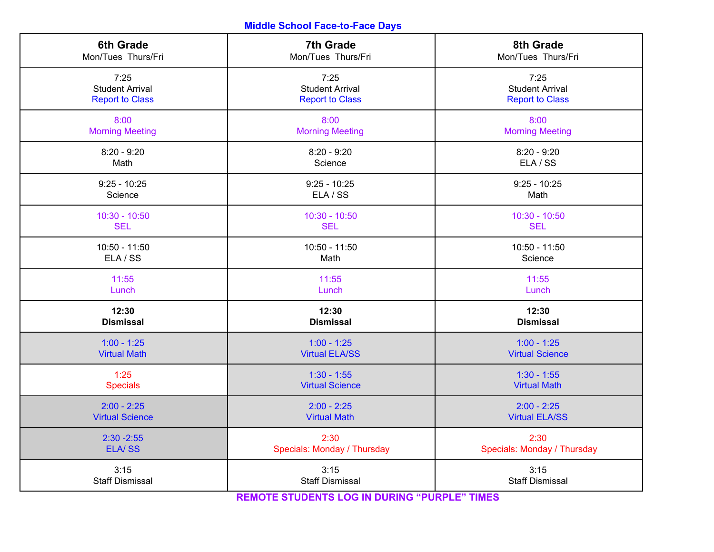## **Middle School Face-to-Face Days**

| <b>6th Grade</b>       | <b>7th Grade</b>            | 8th Grade                   |
|------------------------|-----------------------------|-----------------------------|
| Mon/Tues Thurs/Fri     | Mon/Tues Thurs/Fri          | Mon/Tues Thurs/Fri          |
| 7:25                   | 7:25                        | 7:25                        |
| <b>Student Arrival</b> | <b>Student Arrival</b>      | <b>Student Arrival</b>      |
| <b>Report to Class</b> | <b>Report to Class</b>      | <b>Report to Class</b>      |
| 8:00                   | 8:00                        | 8:00                        |
| <b>Morning Meeting</b> | <b>Morning Meeting</b>      | <b>Morning Meeting</b>      |
| $8:20 - 9:20$          | $8:20 - 9:20$               | $8:20 - 9:20$               |
| Math                   | Science                     | ELA / SS                    |
| $9:25 - 10:25$         | $9:25 - 10:25$              | $9:25 - 10:25$              |
| Science                | ELA / SS                    | Math                        |
| $10:30 - 10:50$        | $10:30 - 10:50$             | $10:30 - 10:50$             |
| <b>SEL</b>             | <b>SEL</b>                  | <b>SEL</b>                  |
| $10:50 - 11:50$        | $10:50 - 11:50$             | $10:50 - 11:50$             |
| ELA / SS               | Math                        | Science                     |
| 11:55                  | 11:55                       | 11:55                       |
| Lunch                  | Lunch                       | Lunch                       |
| 12:30                  | 12:30                       | 12:30                       |
| <b>Dismissal</b>       | <b>Dismissal</b>            | <b>Dismissal</b>            |
| $1:00 - 1:25$          | $1:00 - 1:25$               | $1:00 - 1:25$               |
| <b>Virtual Math</b>    | <b>Virtual ELA/SS</b>       | <b>Virtual Science</b>      |
| 1:25                   | $1:30 - 1:55$               | $1:30 - 1:55$               |
| <b>Specials</b>        | <b>Virtual Science</b>      | <b>Virtual Math</b>         |
| $2:00 - 2:25$          | $2:00 - 2:25$               | $2:00 - 2:25$               |
| <b>Virtual Science</b> | <b>Virtual Math</b>         | <b>Virtual ELA/SS</b>       |
| $2:30 - 2:55$          | 2:30                        | 2:30                        |
| <b>ELA/SS</b>          | Specials: Monday / Thursday | Specials: Monday / Thursday |
| 3:15                   | 3:15                        | 3:15                        |
| <b>Staff Dismissal</b> | <b>Staff Dismissal</b>      | <b>Staff Dismissal</b>      |

**REMOTE STUDENTS LOG IN DURING "PURPLE" TIMES**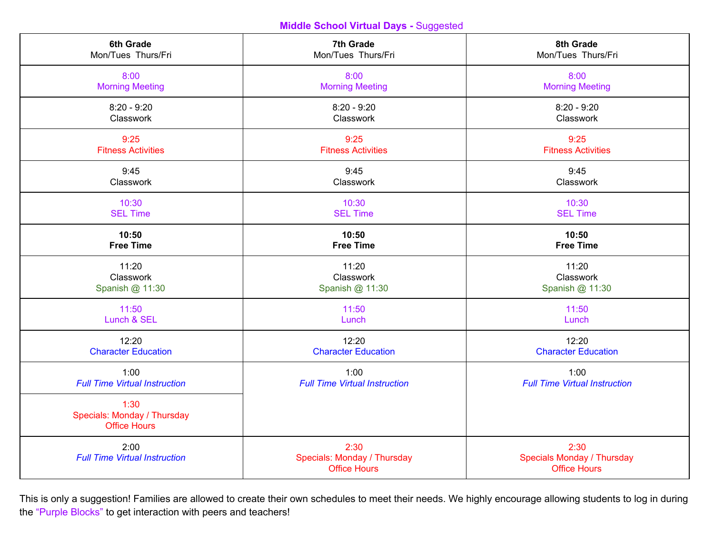**Middle School Virtual Days -** Suggested

| 6th Grade                                                  | 7th Grade                                                  | 8th Grade                                                        |
|------------------------------------------------------------|------------------------------------------------------------|------------------------------------------------------------------|
| Mon/Tues Thurs/Fri                                         | Mon/Tues Thurs/Fri                                         | Mon/Tues Thurs/Fri                                               |
| 8:00                                                       | 8:00                                                       | 8:00                                                             |
| <b>Morning Meeting</b>                                     | <b>Morning Meeting</b>                                     | <b>Morning Meeting</b>                                           |
| $8:20 - 9:20$                                              | $8:20 - 9:20$                                              | $8:20 - 9:20$                                                    |
| Classwork                                                  | Classwork                                                  | Classwork                                                        |
| 9:25                                                       | 9:25                                                       | 9:25                                                             |
| <b>Fitness Activities</b>                                  | <b>Fitness Activities</b>                                  | <b>Fitness Activities</b>                                        |
| 9:45                                                       | 9:45                                                       | 9:45                                                             |
| Classwork                                                  | Classwork                                                  | Classwork                                                        |
| 10:30                                                      | 10:30                                                      | 10:30                                                            |
| <b>SEL Time</b>                                            | <b>SEL Time</b>                                            | <b>SEL Time</b>                                                  |
| 10:50                                                      | 10:50                                                      | 10:50                                                            |
| <b>Free Time</b>                                           | <b>Free Time</b>                                           | <b>Free Time</b>                                                 |
| 11:20                                                      | 11:20                                                      | 11:20                                                            |
| Classwork                                                  | Classwork                                                  | Classwork                                                        |
| Spanish @ 11:30                                            | Spanish @ 11:30                                            | Spanish @ 11:30                                                  |
| 11:50                                                      | 11:50                                                      | 11:50                                                            |
| Lunch & SEL                                                | Lunch                                                      | Lunch                                                            |
| 12:20                                                      | 12:20                                                      | 12:20                                                            |
| <b>Character Education</b>                                 | <b>Character Education</b>                                 | <b>Character Education</b>                                       |
| 1:00                                                       | 1:00                                                       | 1:00                                                             |
| <b>Full Time Virtual Instruction</b>                       | <b>Full Time Virtual Instruction</b>                       | <b>Full Time Virtual Instruction</b>                             |
| 1:30<br>Specials: Monday / Thursday<br><b>Office Hours</b> |                                                            |                                                                  |
| 2:00<br><b>Full Time Virtual Instruction</b>               | 2:30<br>Specials: Monday / Thursday<br><b>Office Hours</b> | 2:30<br><b>Specials Monday / Thursday</b><br><b>Office Hours</b> |

This is only a suggestion! Families are allowed to create their own schedules to meet their needs. We highly encourage allowing students to log in during the "Purple Blocks" to get interaction with peers and teachers!